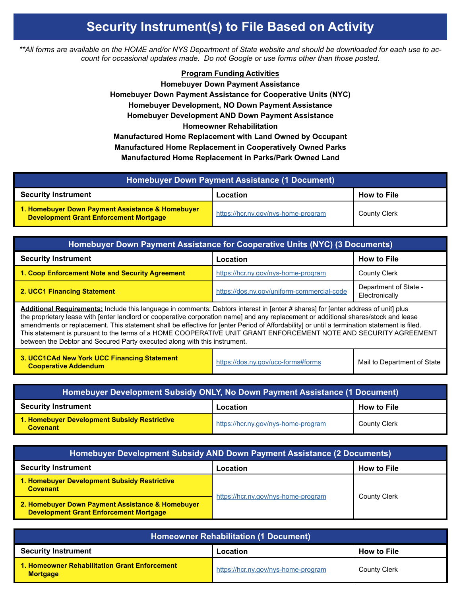## **Security Instrument(s) to File Based on Activity**

*\*\*All forms are available on the HOME and/or NYS Department of State website and should be downloaded for each use to account for occasional updates made. Do not Google or use forms other than those posted.*

## **Program Funding Activities**

**Homebuyer Down Payment Assistance Homebuyer Down Payment Assistance for Cooperative Units (NYC) Homebuyer Development, NO Down Payment Assistance Homebuyer Development AND Down Payment Assistance Homeowner Rehabilitation Manufactured Home Replacement with Land Owned by Occupant Manufactured Home Replacement in Cooperatively Owned Parks Manufactured Home Replacement in Parks/Park Owned Land**

| <b>Homebuyer Down Payment Assistance (1 Document)</b>                                             |                                     |                     |
|---------------------------------------------------------------------------------------------------|-------------------------------------|---------------------|
| <b>Security Instrument</b>                                                                        | Location                            | <b>How to File</b>  |
| 1. Homebuyer Down Payment Assistance & Homebuyer<br><b>Development Grant Enforcement Mortgage</b> | https://hcr.ny.gov/nys-home-program | <b>County Clerk</b> |

| Homebuyer Down Payment Assistance for Cooperative Units (NYC) (3 Documents)                                                                                                                                                                                                                                                                                                                                                                                                                                                                                                                                               |                                            |                                         |
|---------------------------------------------------------------------------------------------------------------------------------------------------------------------------------------------------------------------------------------------------------------------------------------------------------------------------------------------------------------------------------------------------------------------------------------------------------------------------------------------------------------------------------------------------------------------------------------------------------------------------|--------------------------------------------|-----------------------------------------|
| <b>Security Instrument</b>                                                                                                                                                                                                                                                                                                                                                                                                                                                                                                                                                                                                | Location                                   | <b>How to File</b>                      |
| 1. Coop Enforcement Note and Security Agreement                                                                                                                                                                                                                                                                                                                                                                                                                                                                                                                                                                           | https://hcr.ny.gov/nys-home-program        | <b>County Clerk</b>                     |
| 2. UCC1 Financing Statement                                                                                                                                                                                                                                                                                                                                                                                                                                                                                                                                                                                               | https://dos.ny.gov/uniform-commercial-code | Department of State -<br>Electronically |
| Additional Requirements: Include this language in comments: Debtors interest in [enter # shares] for [enter address of unit] plus<br>the proprietary lease with [enter landlord or cooperative corporation name] and any replacement or additional shares/stock and lease<br>amendments or replacement. This statement shall be effective for [enter Period of Affordability] or until a termination statement is filed.<br>This statement is pursuant to the terms of a HOME COOPERATIVE UNIT GRANT ENFORCEMENT NOTE AND SECURITY AGREEMENT<br>between the Debtor and Secured Party executed along with this instrument. |                                            |                                         |
| 3. UCC1CAd New York UCC Financing Statement<br><b>Cooperative Addendum</b>                                                                                                                                                                                                                                                                                                                                                                                                                                                                                                                                                | https://dos.ny.gov/ucc-forms#forms         | Mail to Department of State             |

| Homebuyer Development Subsidy ONLY, No Down Payment Assistance (1 Document) |                                     |                     |
|-----------------------------------------------------------------------------|-------------------------------------|---------------------|
| <b>Security Instrument</b>                                                  | Location                            | <b>How to File</b>  |
| 1. Homebuyer Development Subsidy Restrictive<br><b>Covenant</b>             | https://hcr.ny.gov/nys-home-program | <b>County Clerk</b> |

| Homebuyer Development Subsidy AND Down Payment Assistance (2 Documents)                           |                                     |                     |
|---------------------------------------------------------------------------------------------------|-------------------------------------|---------------------|
| <b>Security Instrument</b>                                                                        | Location                            | <b>How to File</b>  |
| 1. Homebuyer Development Subsidy Restrictive<br><b>Covenant</b>                                   | https://hcr.ny.gov/nys-home-program | <b>County Clerk</b> |
| 2. Homebuyer Down Payment Assistance & Homebuyer<br><b>Development Grant Enforcement Mortgage</b> |                                     |                     |

| <b>Homeowner Rehabilitation (1 Document)</b>                     |                                     |                     |
|------------------------------------------------------------------|-------------------------------------|---------------------|
| <b>Security Instrument</b>                                       | Location                            | <b>How to File</b>  |
| 1. Homeowner Rehabilitation Grant Enforcement<br><b>Mortgage</b> | https://hcr.ny.gov/nys-home-program | <b>County Clerk</b> |